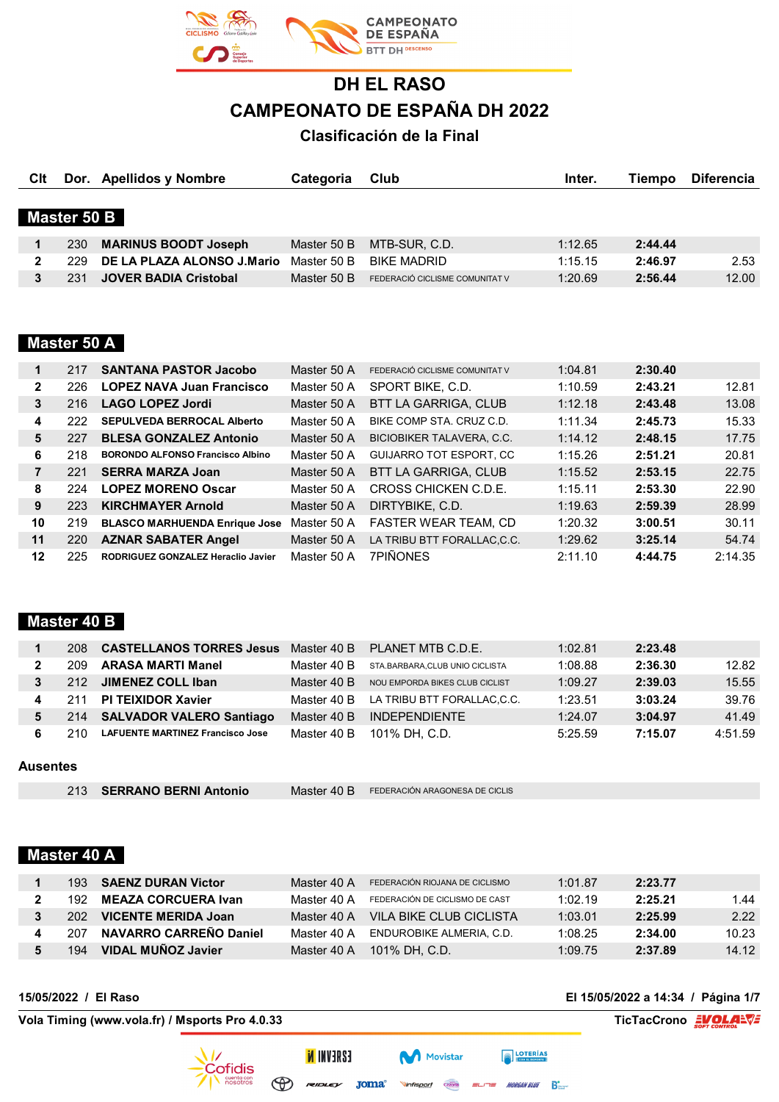

# **DH EL RASO CAMPEONATO DE ESPAÑA DH 2022**

## **Clasificación de la Final**

| Clt          |             | Dor. Apellidos y Nombre      | Categoria   | Club                           | Inter.  | Tiempo  | <b>Diferencia</b> |
|--------------|-------------|------------------------------|-------------|--------------------------------|---------|---------|-------------------|
|              |             |                              |             |                                |         |         |                   |
|              | Master 50 B |                              |             |                                |         |         |                   |
|              | 230         | <b>MARINUS BOODT Joseph</b>  | Master 50 B | MTB-SUR, C.D.                  | 1:12.65 | 2:44.44 |                   |
| $\mathbf{2}$ | 229.        | DE LA PLAZA ALONSO J.Mario   | Master 50 B | <b>BIKE MADRID</b>             | 1:15.15 | 2:46.97 | 2.53              |
|              | 231         | <b>JOVER BADIA Cristobal</b> | Master 50 B | FEDERACIÓ CICLISME COMUNITAT V | 1:20.69 | 2:56.44 | 12.00             |
|              |             |                              |             |                                |         |         |                   |

## **Master 50 A**

| 1            | 217 | <b>SANTANA PASTOR Jacobo</b>            | Master 50 A | FEDERACIÓ CICLISME COMUNITAT V   | 1:04.81 | 2:30.40 |         |
|--------------|-----|-----------------------------------------|-------------|----------------------------------|---------|---------|---------|
| $\mathbf{2}$ | 226 | <b>LOPEZ NAVA Juan Francisco</b>        | Master 50 A | SPORT BIKE, C.D.                 | 1:10.59 | 2:43.21 | 12.81   |
| 3            | 216 | <b>LAGO LOPEZ Jordi</b>                 | Master 50 A | <b>BTT LA GARRIGA, CLUB</b>      | 1:12.18 | 2:43.48 | 13.08   |
| 4            | 222 | <b>SEPULVEDA BERROCAL Alberto</b>       | Master 50 A | BIKE COMP STA, CRUZ C.D.         | 1:11.34 | 2:45.73 | 15.33   |
| 5            | 227 | <b>BLESA GONZALEZ Antonio</b>           | Master 50 A | <b>BICIOBIKER TALAVERA, C.C.</b> | 1:14.12 | 2:48.15 | 17.75   |
| 6            | 218 | <b>BORONDO ALFONSO Francisco Albino</b> | Master 50 A | <b>GUIJARRO TOT ESPORT, CC</b>   | 1:15.26 | 2:51.21 | 20.81   |
| 7            | 221 | <b>SERRA MARZA Joan</b>                 | Master 50 A | BTT LA GARRIGA, CLUB             | 1:15.52 | 2:53.15 | 22.75   |
| 8            | 224 | <b>LOPEZ MORENO Oscar</b>               | Master 50 A | CROSS CHICKEN C.D.E.             | 1:15.11 | 2:53.30 | 22.90   |
| 9            | 223 | <b>KIRCHMAYER Arnold</b>                | Master 50 A | DIRTYBIKE, C.D.                  | 1:19.63 | 2:59.39 | 28.99   |
| 10           | 219 | <b>BLASCO MARHUENDA Enrique Jose</b>    | Master 50 A | <b>FASTER WEAR TEAM, CD</b>      | 1:20.32 | 3:00.51 | 30.11   |
| 11           | 220 | <b>AZNAR SABATER Angel</b>              | Master 50 A | LA TRIBU BTT FORALLAC.C.C.       | 1:29.62 | 3:25.14 | 54.74   |
| 12           | 225 | RODRIGUEZ GONZALEZ Heraclio Javier      | Master 50 A | <b>7PIÑONES</b>                  | 2:11.10 | 4:44.75 | 2:14.35 |

## **Master 40 B**

| 208 | <b>CASTELLANOS TORRES Jesus</b>         | Master 40 B | PLANET MTB C.D.E.              | 1:02.81 | 2:23.48 |         |
|-----|-----------------------------------------|-------------|--------------------------------|---------|---------|---------|
| 209 | <b>ARASA MARTI Manel</b>                | Master 40 B | STA.BARBARA.CLUB UNIO CICLISTA | 1:08.88 | 2:36.30 | 12.82   |
| 212 | JIMENEZ COLL Iban                       | Master 40 B | NOU EMPORDA BIKES CLUB CICLIST | 1:09.27 | 2:39.03 | 15.55   |
| 211 | <b>PI TEIXIDOR Xavier</b>               | Master 40 B | LA TRIBU BTT FORALLAC.C.C.     | 1:23.51 | 3:03.24 | 39.76   |
| 214 | <b>SALVADOR VALERO Santiago</b>         | Master 40 B | <b>INDEPENDIENTE</b>           | 1:24.07 | 3:04.97 | 41.49   |
| 210 | <b>LAFUENTE MARTINEZ Francisco Jose</b> | Master 40 B | 101% DH. C.D.                  | 5:25.59 | 7:15.07 | 4:51.59 |

#### **Ausentes**

|  | 213 SERRANO BERNI Antonio |  | Master 40 B FEDERACIÓN ARAGONESA DE CICLIS |
|--|---------------------------|--|--------------------------------------------|
|--|---------------------------|--|--------------------------------------------|

## **Master 40 A**

|      | 193 SAENZ DURAN Victor        | Master 40 A | FEDERACIÓN RIOJANA DE CICLISMO       | 1:01.87 | 2:23.77 |       |
|------|-------------------------------|-------------|--------------------------------------|---------|---------|-------|
| 192. | <b>MEAZA CORCUERA Ivan</b>    | Master 40 A | FEDERACIÓN DE CICLISMO DE CAST       | 1:02.19 | 2:25.21 | 1.44  |
| 202. | VICENTE MERIDA Joan           | Master 40 A | VII A BIKE CI UB CICI ISTA           | 1:03.01 | 2:25.99 | 2.22  |
| 207  | <b>NAVARRO CARREÑO Daniel</b> |             | Master 40 A ENDUROBIKE ALMERIA, C.D. | 1:08.25 | 2:34.00 | 10.23 |
| 194  | VIDAL MUÑOZ Javier            | Master 40 A | 101% DH. C.D.                        | 1:09.75 | 2:37.89 | 14.12 |

Movistar

Cazorla

Vinfisport

**ISAEVNI N** 

**15/05/2022 / El Raso El 15/05/2022 a 14:34 / Página 1/7**

**FOTERÍAS** 

ELITE MORGAN BLUE BE

**Vola Timing (www.vola.fr) / Msports Pro 4.0.33 TicTacCrono EVOLALVE** 



Cofidis cuenta con<br>nosotros  $\circledast$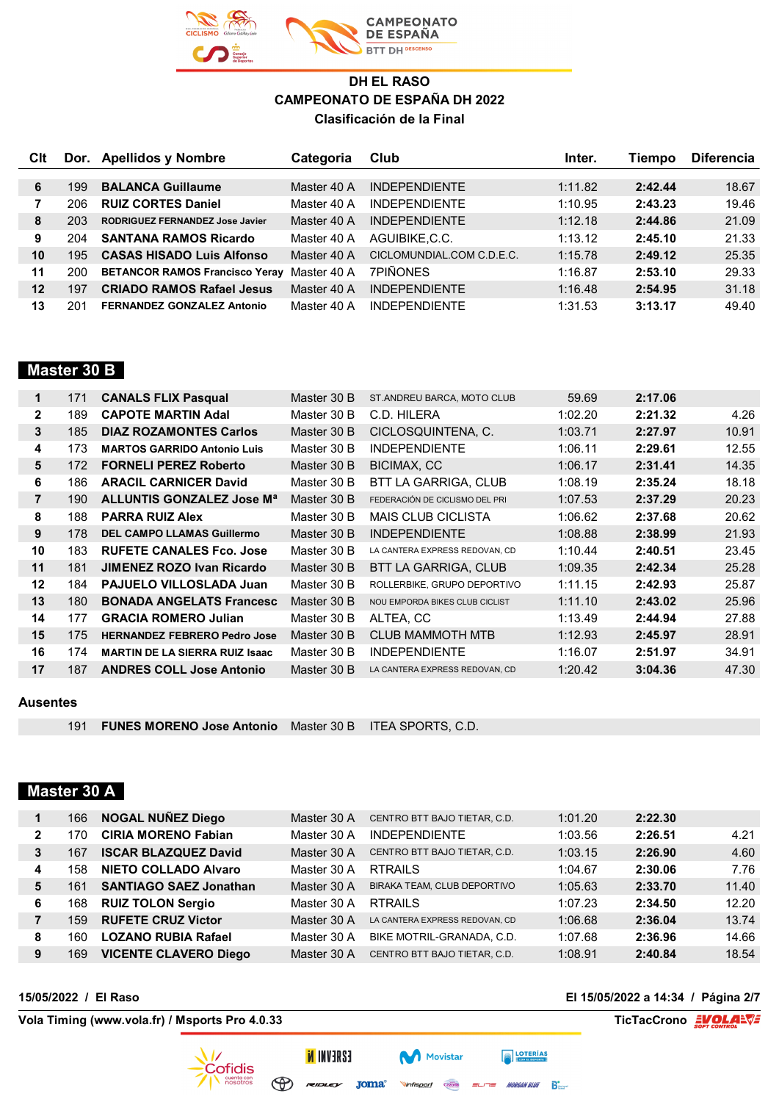

| Clt |     | Dor. Apellidos y Nombre                | Categoria   | Club                      | Inter.  | <b>Fiempo</b> | <b>Diferencia</b> |
|-----|-----|----------------------------------------|-------------|---------------------------|---------|---------------|-------------------|
|     |     |                                        |             |                           |         |               |                   |
| 6   | 199 | <b>BALANCA Guillaume</b>               | Master 40 A | <b>INDEPENDIENTE</b>      | 1:11.82 | 2:42.44       | 18.67             |
|     | 206 | <b>RUIZ CORTES Daniel</b>              | Master 40 A | <b>INDEPENDIENTE</b>      | 1:10.95 | 2:43.23       | 19.46             |
| 8   | 203 | <b>RODRIGUEZ FERNANDEZ Jose Javier</b> | Master 40 A | <b>INDEPENDIENTE</b>      | 1:12.18 | 2:44.86       | 21.09             |
| 9   | 204 | <b>SANTANA RAMOS Ricardo</b>           | Master 40 A | AGUIBIKE.C.C.             | 1:13.12 | 2:45.10       | 21.33             |
| 10  | 195 | <b>CASAS HISADO Luis Alfonso</b>       | Master 40 A | CICLOMUNDIAL.COM C.D.E.C. | 1:15.78 | 2:49.12       | 25.35             |
| 11  | 200 | <b>BETANCOR RAMOS Francisco Yeray</b>  | Master 40 A | <b>7PIÑONES</b>           | 1:16.87 | 2:53.10       | 29.33             |
| 12  | 197 | <b>CRIADO RAMOS Rafael Jesus</b>       | Master 40 A | <b>INDEPENDIENTE</b>      | 1:16.48 | 2:54.95       | 31.18             |
| 13  | 201 | <b>FERNANDEZ GONZALEZ Antonio</b>      | Master 40 A | <b>INDEPENDIENTE</b>      | 1:31.53 | 3:13.17       | 49.40             |

### **Master 30 B**

| 4.26  |
|-------|
| 10.91 |
| 12.55 |
| 14.35 |
| 18.18 |
| 20.23 |
| 20.62 |
| 21.93 |
| 23.45 |
| 25.28 |
| 25.87 |
| 25.96 |
| 27.88 |
| 28.91 |
| 34.91 |
| 47.30 |
|       |

#### **Ausentes**

**FUNES MORENO Jose Antonio** Master 30 B ITEA SPORTS, C.D.

### **Master 30 A**

|   | 166 | <b>NOGAL NUÑEZ Diego</b>      | Master 30 A | CENTRO BTT BAJO TIETAR, C.D.   | 1:01.20 | 2:22.30 |       |
|---|-----|-------------------------------|-------------|--------------------------------|---------|---------|-------|
| 2 | 170 | <b>CIRIA MORENO Fabian</b>    | Master 30 A | <b>INDEPENDIENTE</b>           | 1:03.56 | 2:26.51 | 4.21  |
| 3 | 167 | <b>ISCAR BLAZQUEZ David</b>   | Master 30 A | CENTRO BTT BAJO TIETAR, C.D.   | 1:03.15 | 2:26.90 | 4.60  |
| 4 | 158 | <b>NIETO COLLADO Alvaro</b>   | Master 30 A | <b>RTRAILS</b>                 | 1:04.67 | 2:30.06 | 7.76  |
| 5 | 161 | <b>SANTIAGO SAEZ Jonathan</b> | Master 30 A | BIRAKA TEAM, CLUB DEPORTIVO    | 1:05.63 | 2:33.70 | 11.40 |
| 6 | 168 | <b>RUIZ TOLON Sergio</b>      | Master 30 A | <b>RTRAILS</b>                 | 1:07.23 | 2:34.50 | 12.20 |
|   | 159 | <b>RUFETE CRUZ Victor</b>     | Master 30 A | LA CANTERA EXPRESS REDOVAN. CD | 1:06.68 | 2:36.04 | 13.74 |
| 8 | 160 | <b>LOZANO RUBIA Rafael</b>    | Master 30 A | BIKE MOTRIL-GRANADA, C.D.      | 1:07.68 | 2:36.96 | 14.66 |
| 9 | 169 | <b>VICENTE CLAVERO Diego</b>  | Master 30 A | CENTRO BTT BAJO TIETAR, C.D.   | 1:08.91 | 2:40.84 | 18.54 |

**Vola Timing (www.vola.fr) / Msports Pro 4.0.33 TicTacCrono EVOLALVE** 

**15/05/2022 / El Raso El 15/05/2022 a 14:34 / Página 2/7**

**EXECUTERIAS** 

 $=$  $=$  MORGAN BLUE  $\sum_{n=1}^{\infty}$ 

Cazorla

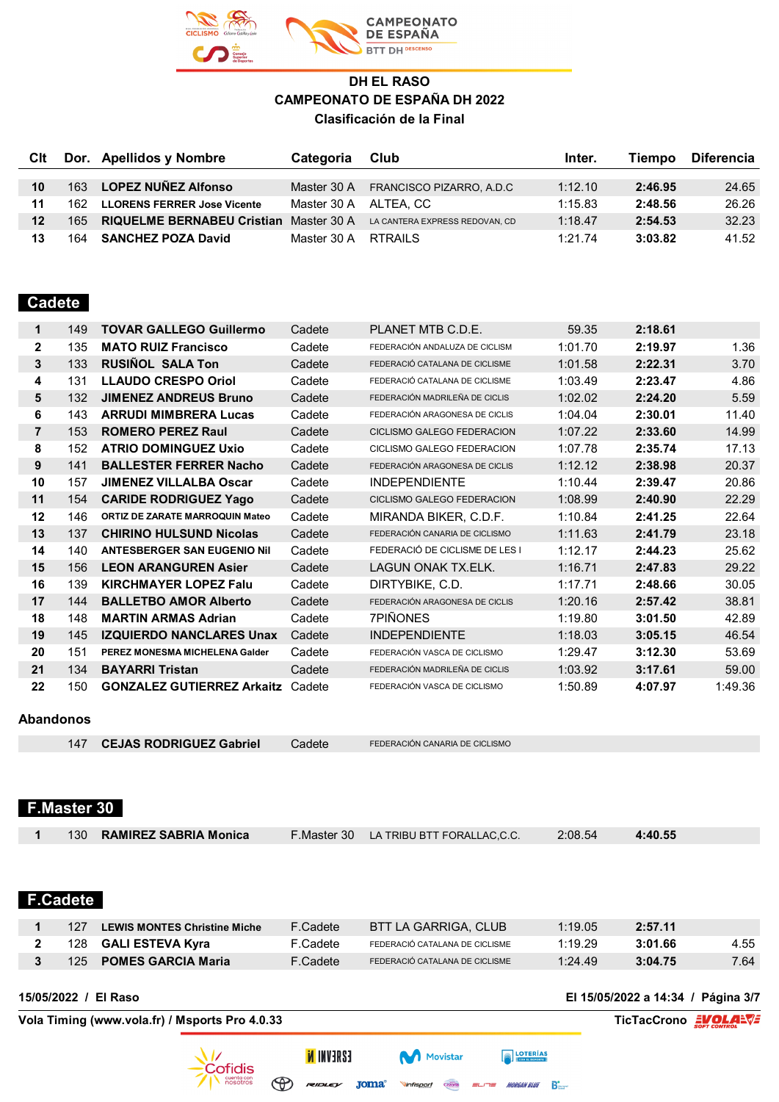

## **CAMPEONATO** DE ESPAÑA **BTT DH DESCENSO**

## **DH EL RASO CAMPEONATO DE ESPAÑA DH 2022 Clasificación de la Final**

| Clt     |      | Dor. Apellidos y Nombre                       | <b>Categoria</b>      | Club                           | Inter.  | Tiempo  | <b>Diferencia</b> |
|---------|------|-----------------------------------------------|-----------------------|--------------------------------|---------|---------|-------------------|
|         |      |                                               |                       |                                |         |         |                   |
| 10      | 163  | <b>LOPEZ NUÑEZ Alfonso</b>                    | Master 30 A           | FRANCISCO PIZARRO, A.D.C       | 1:12.10 | 2:46.95 | 24.65             |
| 11      | 162. | <b>LLORENS FERRER Jose Vicente</b>            | Master 30 A ALTEA, CC |                                | 1:15.83 | 2:48.56 | 26.26             |
| $12 \,$ | 165. | <b>RIQUELME BERNABEU Cristian Master 30 A</b> |                       | LA CANTERA EXPRESS REDOVAN, CD | 1:18.47 | 2:54.53 | 32.23             |
| 13      | 164  | <b>SANCHEZ POZA David</b>                     | Master 30 A           | RTRAILS                        | 1:21.74 | 3:03.82 | 41.52             |

## **Cadete**

| 1                                                                                                                       | 149 | <b>TOVAR GALLEGO Guillermo</b>         | Cadete | PLANET MTB C.D.E.              | 59.35   | 2:18.61 |         |
|-------------------------------------------------------------------------------------------------------------------------|-----|----------------------------------------|--------|--------------------------------|---------|---------|---------|
| $\mathbf{2}$                                                                                                            | 135 | <b>MATO RUIZ Francisco</b>             | Cadete | FEDERACIÓN ANDALUZA DE CICLISM | 1:01.70 | 2:19.97 | 1.36    |
| 3                                                                                                                       | 133 | <b>RUSIÑOL SALA Ton</b>                | Cadete | FEDERACIÓ CATALANA DE CICLISME | 1:01.58 | 2:22.31 | 3.70    |
| 4                                                                                                                       | 131 | <b>LLAUDO CRESPO Oriol</b>             | Cadete | FEDERACIÓ CATALANA DE CICLISME | 1:03.49 | 2:23.47 | 4.86    |
| 5                                                                                                                       | 132 | <b>JIMENEZ ANDREUS Bruno</b>           | Cadete | FEDERACIÓN MADRILEÑA DE CICLIS | 1:02.02 | 2:24.20 | 5.59    |
| 6                                                                                                                       | 143 | <b>ARRUDI MIMBRERA Lucas</b>           | Cadete | FEDERACIÓN ARAGONESA DE CICLIS | 1:04.04 | 2:30.01 | 11.40   |
| $\overline{7}$                                                                                                          | 153 | <b>ROMERO PEREZ Raul</b>               | Cadete | CICLISMO GALEGO FEDERACION     | 1:07.22 | 2:33.60 | 14.99   |
| 8                                                                                                                       | 152 | <b>ATRIO DOMINGUEZ Uxio</b>            | Cadete | CICLISMO GALEGO FEDERACION     | 1:07.78 | 2:35.74 | 17.13   |
| 9                                                                                                                       | 141 | <b>BALLESTER FERRER Nacho</b>          | Cadete | FEDERACIÓN ARAGONESA DE CICLIS | 1:12.12 | 2:38.98 | 20.37   |
| 10                                                                                                                      | 157 | <b>JIMENEZ VILLALBA Oscar</b>          | Cadete | <b>INDEPENDIENTE</b>           | 1:10.44 | 2:39.47 | 20.86   |
| 11                                                                                                                      | 154 | <b>CARIDE RODRIGUEZ Yago</b>           | Cadete | CICLISMO GALEGO FEDERACION     | 1:08.99 | 2:40.90 | 22.29   |
| 12                                                                                                                      | 146 | <b>ORTIZ DE ZARATE MARROQUIN Mateo</b> | Cadete | MIRANDA BIKER, C.D.F.          | 1:10.84 | 2:41.25 | 22.64   |
| 13                                                                                                                      | 137 | <b>CHIRINO HULSUND Nicolas</b>         | Cadete | FEDERACIÓN CANARIA DE CICLISMO | 1:11.63 | 2:41.79 | 23.18   |
| 14                                                                                                                      | 140 | <b>ANTESBERGER SAN EUGENIO Nil</b>     | Cadete | FEDERACIÓ DE CICLISME DE LES I | 1:12.17 | 2:44.23 | 25.62   |
| 15                                                                                                                      | 156 | <b>LEON ARANGUREN Asier</b>            | Cadete | <b>LAGUN ONAK TX.ELK.</b>      | 1:16.71 | 2:47.83 | 29.22   |
| 16                                                                                                                      | 139 | <b>KIRCHMAYER LOPEZ Falu</b>           | Cadete | DIRTYBIKE, C.D.                | 1:17.71 | 2:48.66 | 30.05   |
| 17                                                                                                                      | 144 | <b>BALLETBO AMOR Alberto</b>           | Cadete | FEDERACIÓN ARAGONESA DE CICLIS | 1:20.16 | 2:57.42 | 38.81   |
| 18                                                                                                                      | 148 | <b>MARTIN ARMAS Adrian</b>             | Cadete | 7PIÑONES                       | 1:19.80 | 3:01.50 | 42.89   |
| 19                                                                                                                      | 145 | <b>IZQUIERDO NANCLARES Unax</b>        | Cadete | <b>INDEPENDIENTE</b>           | 1:18.03 | 3:05.15 | 46.54   |
| 20                                                                                                                      | 151 | PEREZ MONESMA MICHELENA Galder         | Cadete | FEDERACIÓN VASCA DE CICLISMO   | 1:29.47 | 3:12.30 | 53.69   |
| 21                                                                                                                      | 134 | <b>BAYARRI Tristan</b>                 | Cadete | FEDERACIÓN MADRILEÑA DE CICLIS | 1:03.92 | 3:17.61 | 59.00   |
| 22                                                                                                                      | 150 | <b>GONZALEZ GUTIERREZ Arkaitz</b>      | Cadete | FEDERACIÓN VASCA DE CICLISMO   | 1:50.89 | 4:07.97 | 1:49.36 |
| $\blacksquare$ $\blacksquare$ $\blacksquare$ $\blacksquare$ $\blacksquare$ $\blacksquare$ $\blacksquare$ $\blacksquare$ |     |                                        |        |                                |         |         |         |

#### **Abandonos**

147 **CEJAS RODRIGUEZ Gabriel** Cadete FEDERACIÓN CANARIA DE CICLISMO

## **F.Master 30**

| 130 RAMIREZ SABRIA Monica | F. Master 30 LA TRIBU BTT FORALLAC.C.C. | 2:08.54 | 4:40.55 |  |
|---------------------------|-----------------------------------------|---------|---------|--|
|                           |                                         |         |         |  |

## **F.Cadete**

| 127     | LEWIS MONTES Christine Miche | F.Cadete | BTT LA GARRIGA. CLUB           | 1:19.05 | 2:57.11 |      |
|---------|------------------------------|----------|--------------------------------|---------|---------|------|
| 128     | GALI ESTEVA Kyra             | F.Cadete | FEDERACIÓ CATALANA DE CICLISME | 1:19.29 | 3:01.66 | 4.55 |
| $125 -$ | <b>POMES GARCIA Maria</b>    | F.Cadete | FEDERACIÓ CATALANA DE CICLISME | 1:24.49 | 3:04.75 | 7.64 |

**Vola Timing (www.vola.fr) / Msports Pro 4.0.33 TicTacCrono EVOLALVE** 

**15/05/2022 / El Raso El 15/05/2022 a 14:34 / Página 3/7**

Cofidis cuenta con<br>nosotros

**ISAEVNI N**  $\bigoplus$ 

Movistar

 $P$ MORGAN BLUE Beard Vinfisport Cazorla  $\overline{r}$ 

**FOTERÍAS**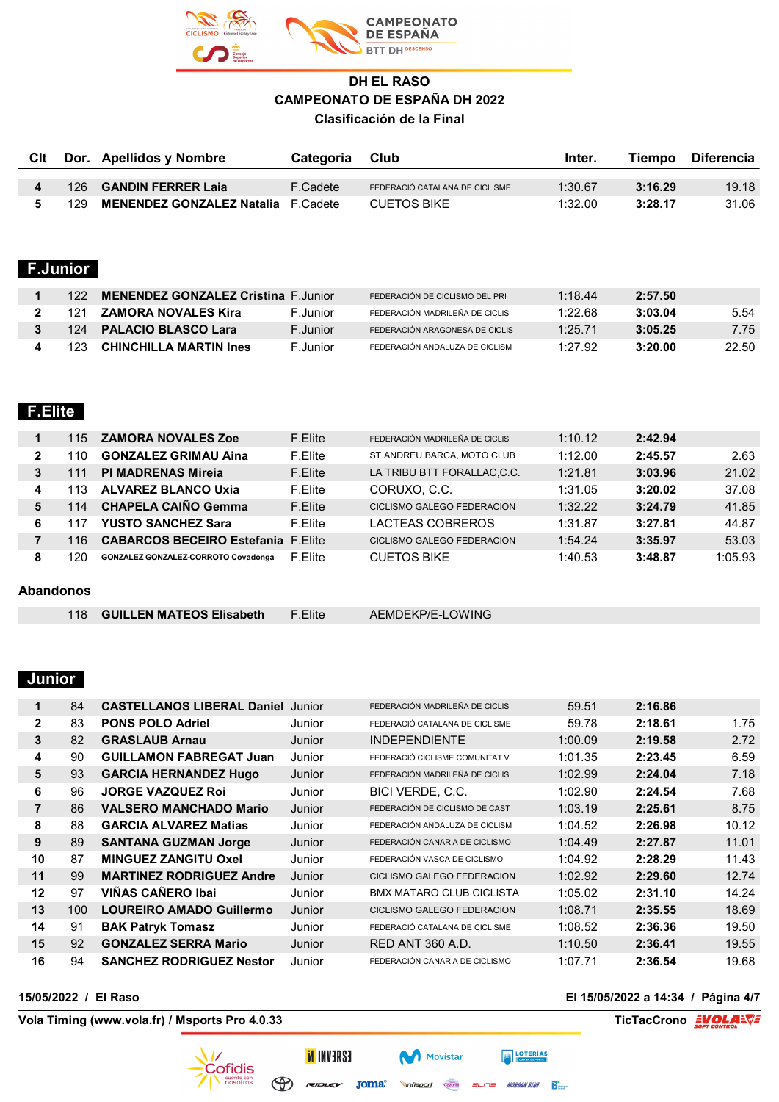

| <b>GANDIN FERRER Laja</b><br>3:16.29<br>$\overline{\mathbf{4}}$<br>F.Cadete<br>1:30.67<br>126<br>FEDERACIÓ CATALANA DE CICLISME<br>5<br>3:28.17<br><b>MENENDEZ GONZALEZ Natalia</b><br>F.Cadete<br><b>CUETOS BIKE</b><br>1:32.00<br>129<br><b>F.Junior</b><br><b>MENENDEZ GONZALEZ Cristina F.Junior</b><br>1:18.44<br>122<br>2:57.50<br>1<br>FEDERACIÓN DE CICLISMO DEL PRI<br><b>ZAMORA NOVALES Kira</b><br>3:03.04<br>$\overline{2}$<br>F.Junior<br>1:22.68<br>121<br>FEDERACIÓN MADRILEÑA DE CICLIS<br><b>PALACIO BLASCO Lara</b><br>3<br>F.Junior<br>1:25.71<br>3:05.25<br>124<br>FEDERACIÓN ARAGONESA DE CICLIS<br><b>CHINCHILLA MARTIN Ines</b><br>1:27.92<br>3:20.00<br>123<br>F.Junior<br>FEDERACIÓN ANDALUZA DE CICLISM<br>4 | <b>C</b> It | Dor. Apellidos y Nombre | Categoria | Club | Inter. | Tiempo | <b>Diferencia</b> |
|----------------------------------------------------------------------------------------------------------------------------------------------------------------------------------------------------------------------------------------------------------------------------------------------------------------------------------------------------------------------------------------------------------------------------------------------------------------------------------------------------------------------------------------------------------------------------------------------------------------------------------------------------------------------------------------------------------------------------------------|-------------|-------------------------|-----------|------|--------|--------|-------------------|
|                                                                                                                                                                                                                                                                                                                                                                                                                                                                                                                                                                                                                                                                                                                                        |             |                         |           |      |        |        |                   |
|                                                                                                                                                                                                                                                                                                                                                                                                                                                                                                                                                                                                                                                                                                                                        |             |                         |           |      |        |        | 19.18             |
|                                                                                                                                                                                                                                                                                                                                                                                                                                                                                                                                                                                                                                                                                                                                        |             |                         |           |      |        |        | 31.06             |
|                                                                                                                                                                                                                                                                                                                                                                                                                                                                                                                                                                                                                                                                                                                                        |             |                         |           |      |        |        |                   |
|                                                                                                                                                                                                                                                                                                                                                                                                                                                                                                                                                                                                                                                                                                                                        |             |                         |           |      |        |        |                   |
|                                                                                                                                                                                                                                                                                                                                                                                                                                                                                                                                                                                                                                                                                                                                        |             |                         |           |      |        |        | 5.54              |
|                                                                                                                                                                                                                                                                                                                                                                                                                                                                                                                                                                                                                                                                                                                                        |             |                         |           |      |        |        | 7.75              |
|                                                                                                                                                                                                                                                                                                                                                                                                                                                                                                                                                                                                                                                                                                                                        |             |                         |           |      |        |        | 22.50             |

## **F.Elite**

|                  | 115 | <b>ZAMORA NOVALES Zoe</b>                  | F.Elite | FEDERACIÓN MADRILEÑA DE CICLIS | 1:10.12 | 2:42.94 |         |  |
|------------------|-----|--------------------------------------------|---------|--------------------------------|---------|---------|---------|--|
| $\mathbf{2}$     | 110 | <b>GONZALEZ GRIMAU Aina</b>                | F.Elite | ST.ANDREU BARCA, MOTO CLUB     | 1:12.00 | 2:45.57 | 2.63    |  |
| 3                | 111 | <b>PI MADRENAS Mireja</b>                  | F.Elite | LA TRIBU BTT FORALLAC, C.C.    | 1:21.81 | 3:03.96 | 21.02   |  |
| 4                | 113 | <b>ALVAREZ BLANCO Uxia</b>                 | F.Elite | CORUXO, C.C.                   | 1:31.05 | 3:20.02 | 37.08   |  |
| 5                | 114 | <b>CHAPELA CAINO Gemma</b>                 | F.Elite | CICLISMO GALEGO FEDERACION     | 1:32.22 | 3:24.79 | 41.85   |  |
| 6                | 117 | <b>YUSTO SANCHEZ Sara</b>                  | F.Elite | LACTEAS COBREROS               | 1:31.87 | 3:27.81 | 44.87   |  |
| 7                | 116 | <b>CABARCOS BECEIRO Estefania F.Elite</b>  |         | CICLISMO GALEGO FEDERACION     | 1:54.24 | 3:35.97 | 53.03   |  |
| 8                | 120 | <b>GONZALEZ GONZALEZ-CORROTO Covadonga</b> | F.Elite | <b>CUETOS BIKE</b>             | 1:40.53 | 3:48.87 | 1:05.93 |  |
|                  |     |                                            |         |                                |         |         |         |  |
| <b>Abandonos</b> |     |                                            |         |                                |         |         |         |  |
|                  |     |                                            |         |                                |         |         |         |  |

| <b>GUILLEN MATEOS Elisabeth</b> | F.Elite | AEMDEKP/E-LOWING |
|---------------------------------|---------|------------------|
|---------------------------------|---------|------------------|

## **Junior**

| 1              | 84  | <b>CASTELLANOS LIBERAL Daniel</b> | Junior | FEDERACIÓN MADRILEÑA DE CICLIS  | 59.51   | 2:16.86 |       |
|----------------|-----|-----------------------------------|--------|---------------------------------|---------|---------|-------|
| $\mathbf{2}$   | 83  | <b>PONS POLO Adriel</b>           | Junior | FEDERACIÓ CATALANA DE CICLISME  | 59.78   | 2:18.61 | 1.75  |
| 3              | 82  | <b>GRASLAUB Arnau</b>             | Junior | <b>INDEPENDIENTE</b>            | 1:00.09 | 2:19.58 | 2.72  |
| 4              | 90  | <b>GUILLAMON FABREGAT Juan</b>    | Junior | FEDERACIÓ CICLISME COMUNITAT V  | 1:01.35 | 2:23.45 | 6.59  |
| 5              | 93  | <b>GARCIA HERNANDEZ Hugo</b>      | Junior | FEDERACIÓN MADRILEÑA DE CICLIS  | 1:02.99 | 2:24.04 | 7.18  |
| 6              | 96  | <b>JORGE VAZQUEZ Roj</b>          | Junior | BICI VERDE, C.C.                | 1:02.90 | 2:24.54 | 7.68  |
| $\overline{7}$ | 86  | <b>VALSERO MANCHADO Mario</b>     | Junior | FEDERACIÓN DE CICLISMO DE CAST  | 1:03.19 | 2:25.61 | 8.75  |
| 8              | 88  | <b>GARCIA ALVAREZ Matias</b>      | Junior | FEDERACIÓN ANDALUZA DE CICLISM  | 1:04.52 | 2:26.98 | 10.12 |
| 9              | 89  | <b>SANTANA GUZMAN Jorge</b>       | Junior | FEDERACIÓN CANARIA DE CICLISMO  | 1:04.49 | 2:27.87 | 11.01 |
| 10             | 87  | <b>MINGUEZ ZANGITU Oxel</b>       | Junior | FEDERACIÓN VASCA DE CICLISMO    | 1:04.92 | 2:28.29 | 11.43 |
| 11             | 99  | <b>MARTINEZ RODRIGUEZ Andre</b>   | Junior | CICLISMO GALEGO FEDERACION      | 1:02.92 | 2:29.60 | 12.74 |
| 12             | 97  | VIÑAS CAÑERO Ibai                 | Junior | <b>BMX MATARO CLUB CICLISTA</b> | 1:05.02 | 2:31.10 | 14.24 |
| 13             | 100 | <b>LOUREIRO AMADO Guillermo</b>   | Junior | CICLISMO GALEGO FEDERACION      | 1:08.71 | 2:35.55 | 18.69 |
| 14             | 91  | <b>BAK Patryk Tomasz</b>          | Junior | FEDERACIÓ CATALANA DE CICLISME  | 1:08.52 | 2:36.36 | 19.50 |
| 15             | 92  | <b>GONZALEZ SERRA Mario</b>       | Junior | <b>RED ANT 360 A.D.</b>         | 1:10.50 | 2:36.41 | 19.55 |
| 16             | 94  | <b>SANCHEZ RODRIGUEZ Nestor</b>   | Junior | FEDERACIÓN CANARIA DE CICLISMO  | 1:07.71 | 2:36.54 | 19.68 |

Movistar

Cazorla

Vinfisport

**Vola Timing (www.vola.fr) / Msports Pro 4.0.33 TicTacCrono EVOLALVE** 

### **15/05/2022 / El Raso El 15/05/2022 a 14:34 / Página 4/7**

**EXECUTERIAS** 

ELITE MORGAN BLUE B



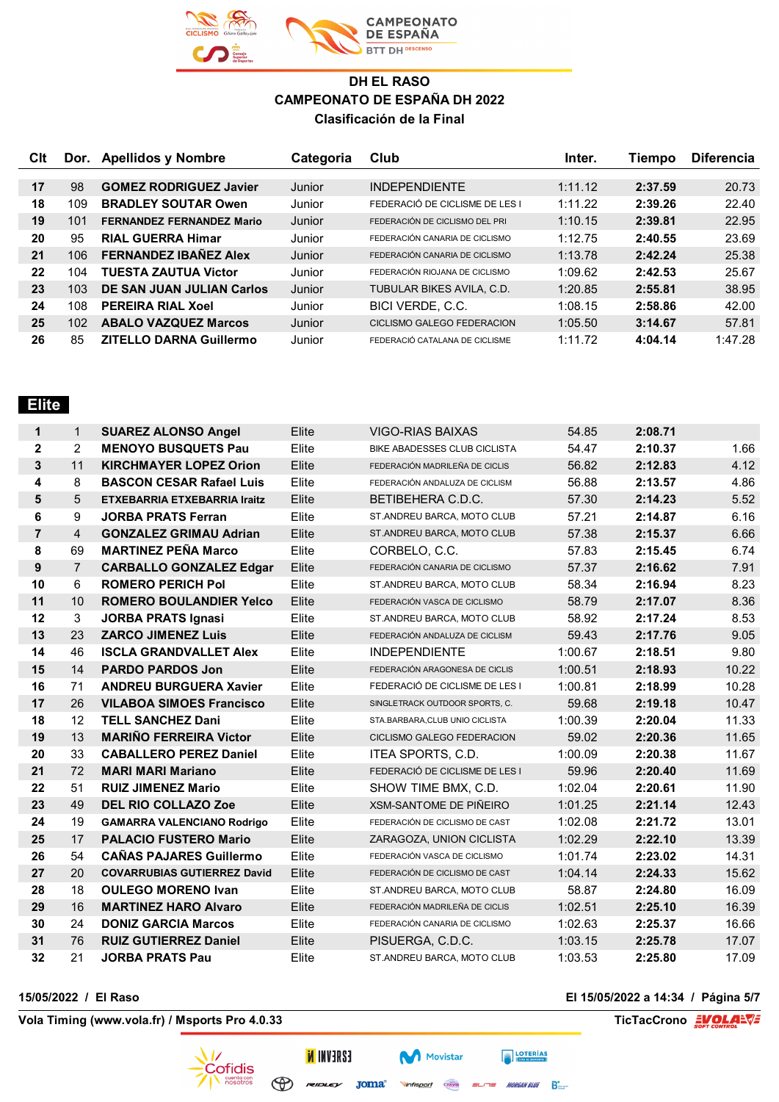

| Clt |     | Dor. Apellidos y Nombre          | Categoria | Club                           | Inter.  | Tiempo  | <b>Diferencia</b> |
|-----|-----|----------------------------------|-----------|--------------------------------|---------|---------|-------------------|
|     |     |                                  |           |                                |         |         |                   |
| 17  | 98  | <b>GOMEZ RODRIGUEZ Javier</b>    | Junior    | <b>INDEPENDIENTE</b>           | 1:11.12 | 2:37.59 | 20.73             |
| 18  | 109 | <b>BRADLEY SOUTAR Owen</b>       | Junior    | FEDERACIÓ DE CICLISME DE LES I | 1:11.22 | 2:39.26 | 22.40             |
| 19  | 101 | <b>FERNANDEZ FERNANDEZ Mario</b> | Junior    | FEDERACIÓN DE CICLISMO DEL PRI | 1:10.15 | 2:39.81 | 22.95             |
| 20  | 95  | <b>RIAL GUERRA Himar</b>         | Junior    | FEDERACIÓN CANARIA DE CICLISMO | 1:12.75 | 2:40.55 | 23.69             |
| 21  | 106 | <b>FERNANDEZ IBANEZ Alex</b>     | Junior    | FEDERACIÓN CANARIA DE CICLISMO | 1:13.78 | 2:42.24 | 25.38             |
| 22  | 104 | <b>TUESTA ZAUTUA Victor</b>      | Junior    | FEDERACIÓN RIOJANA DE CICLISMO | 1:09.62 | 2:42.53 | 25.67             |
| 23  | 103 | DE SAN JUAN JULIAN Carlos        | Junior    | TUBULAR BIKES AVILA, C.D.      | 1:20.85 | 2:55.81 | 38.95             |
| 24  | 108 | <b>PEREIRA RIAL Xoel</b>         | Junior    | BICI VERDE, C.C.               | 1:08.15 | 2:58.86 | 42.00             |
| 25  | 102 | <b>ABALO VAZQUEZ Marcos</b>      | Junior    | CICLISMO GALEGO FEDERACION     | 1:05.50 | 3:14.67 | 57.81             |
| 26  | 85  | <b>ZITELLO DARNA Guillermo</b>   | Junior    | FEDERACIÓ CATALANA DE CICLISME | 1:11.72 | 4:04.14 | 1:47.28           |

## **Elite**

| 1              | $\mathbf{1}$   | <b>SUAREZ ALONSO Angel</b>          | Elite | <b>VIGO-RIAS BAIXAS</b>         | 54.85   | 2:08.71 |       |
|----------------|----------------|-------------------------------------|-------|---------------------------------|---------|---------|-------|
| 2              | 2              | <b>MENOYO BUSQUETS Pau</b>          | Elite | BIKE ABADESSES CLUB CICLISTA    | 54.47   | 2:10.37 | 1.66  |
| 3              | 11             | <b>KIRCHMAYER LOPEZ Orion</b>       | Elite | FEDERACIÓN MADRILEÑA DE CICLIS  | 56.82   | 2:12.83 | 4.12  |
| 4              | 8              | <b>BASCON CESAR Rafael Luis</b>     | Elite | FEDERACIÓN ANDALUZA DE CICLISM  | 56.88   | 2:13.57 | 4.86  |
| 5              | 5              | <b>ETXEBARRIA ETXEBARRIA Iraitz</b> | Elite | BETIBEHERA C.D.C.               | 57.30   | 2:14.23 | 5.52  |
| 6              | 9              | <b>JORBA PRATS Ferran</b>           | Elite | ST.ANDREU BARCA, MOTO CLUB      | 57.21   | 2:14.87 | 6.16  |
| $\overline{7}$ | $\overline{4}$ | <b>GONZALEZ GRIMAU Adrian</b>       | Elite | ST.ANDREU BARCA, MOTO CLUB      | 57.38   | 2:15.37 | 6.66  |
| 8              | 69             | <b>MARTINEZ PEÑA Marco</b>          | Elite | CORBELO, C.C.                   | 57.83   | 2:15.45 | 6.74  |
| 9              | $\overline{7}$ | <b>CARBALLO GONZALEZ Edgar</b>      | Elite | FEDERACIÓN CANARIA DE CICLISMO  | 57.37   | 2:16.62 | 7.91  |
| 10             | 6              | <b>ROMERO PERICH Pol</b>            | Elite | ST.ANDREU BARCA, MOTO CLUB      | 58.34   | 2:16.94 | 8.23  |
| 11             | 10             | <b>ROMERO BOULANDIER Yelco</b>      | Elite | FEDERACIÓN VASCA DE CICLISMO    | 58.79   | 2:17.07 | 8.36  |
| 12             | 3              | <b>JORBA PRATS Ignasi</b>           | Elite | ST.ANDREU BARCA, MOTO CLUB      | 58.92   | 2:17.24 | 8.53  |
| 13             | 23             | <b>ZARCO JIMENEZ Luis</b>           | Elite | FEDERACIÓN ANDALUZA DE CICLISM  | 59.43   | 2:17.76 | 9.05  |
| 14             | 46             | <b>ISCLA GRANDVALLET Alex</b>       | Elite | <b>INDEPENDIENTE</b>            | 1:00.67 | 2:18.51 | 9.80  |
| 15             | 14             | <b>PARDO PARDOS Jon</b>             | Elite | FEDERACIÓN ARAGONESA DE CICLIS  | 1:00.51 | 2:18.93 | 10.22 |
| 16             | 71             | <b>ANDREU BURGUERA Xavier</b>       | Elite | FEDERACIÓ DE CICLISME DE LES I  | 1:00.81 | 2:18.99 | 10.28 |
| 17             | 26             | <b>VILABOA SIMOES Francisco</b>     | Elite | SINGLETRACK OUTDOOR SPORTS, C.  | 59.68   | 2:19.18 | 10.47 |
| 18             | 12             | <b>TELL SANCHEZ Dani</b>            | Elite | STA.BARBARA, CLUB UNIO CICLISTA | 1:00.39 | 2:20.04 | 11.33 |
| 19             | 13             | <b>MARIÑO FERREIRA Victor</b>       | Elite | CICLISMO GALEGO FEDERACION      | 59.02   | 2:20.36 | 11.65 |
| 20             | 33             | <b>CABALLERO PEREZ Daniel</b>       | Elite | ITEA SPORTS, C.D.               | 1:00.09 | 2:20.38 | 11.67 |
| 21             | 72             | <b>MARI MARI Mariano</b>            | Elite | FEDERACIÓ DE CICLISME DE LES I  | 59.96   | 2:20.40 | 11.69 |
| 22             | 51             | <b>RUIZ JIMENEZ Mario</b>           | Elite | SHOW TIME BMX, C.D.             | 1:02.04 | 2:20.61 | 11.90 |
| 23             | 49             | <b>DEL RIO COLLAZO Zoe</b>          | Elite | <b>XSM-SANTOME DE PIÑEIRO</b>   | 1:01.25 | 2:21.14 | 12.43 |
| 24             | 19             | <b>GAMARRA VALENCIANO Rodrigo</b>   | Elite | FEDERACIÓN DE CICLISMO DE CAST  | 1:02.08 | 2:21.72 | 13.01 |
| 25             | 17             | <b>PALACIO FUSTERO Mario</b>        | Elite | ZARAGOZA, UNION CICLISTA        | 1:02.29 | 2:22.10 | 13.39 |
| 26             | 54             | <b>CAÑAS PAJARES Guillermo</b>      | Elite | FEDERACIÓN VASCA DE CICLISMO    | 1:01.74 | 2:23.02 | 14.31 |
| 27             | 20             | <b>COVARRUBIAS GUTIERREZ David</b>  | Elite | FEDERACIÓN DE CICLISMO DE CAST  | 1:04.14 | 2:24.33 | 15.62 |
| 28             | 18             | <b>OULEGO MORENO Ivan</b>           | Elite | ST.ANDREU BARCA, MOTO CLUB      | 58.87   | 2:24.80 | 16.09 |
| 29             | 16             | <b>MARTINEZ HARO Alvaro</b>         | Elite | FEDERACIÓN MADRILEÑA DE CICLIS  | 1:02.51 | 2:25.10 | 16.39 |
| 30             | 24             | <b>DONIZ GARCIA Marcos</b>          | Elite | FEDERACIÓN CANARIA DE CICLISMO  | 1:02.63 | 2:25.37 | 16.66 |
| 31             | 76             | <b>RUIZ GUTIERREZ Daniel</b>        | Elite | PISUERGA, C.D.C.                | 1:03.15 | 2:25.78 | 17.07 |
| 32             | 21             | <b>JORBA PRATS Pau</b>              | Elite | ST.ANDREU BARCA, MOTO CLUB      | 1:03.53 | 2:25.80 | 17.09 |

**Vola Timing (www.vola.fr) / Msports Pro 4.0.33 TicTacCrono EVOLAL** 

**15/05/2022 / El Raso El 15/05/2022 a 14:34 / Página 5/7**



 $\bigoplus$  revolution  $\mathsf{Joma}^*$ 

**INVERSE** 

**Movistar Vinfisport** Cazorla ELITE MORGAN BLUE BEAT

**FOTERÍAS**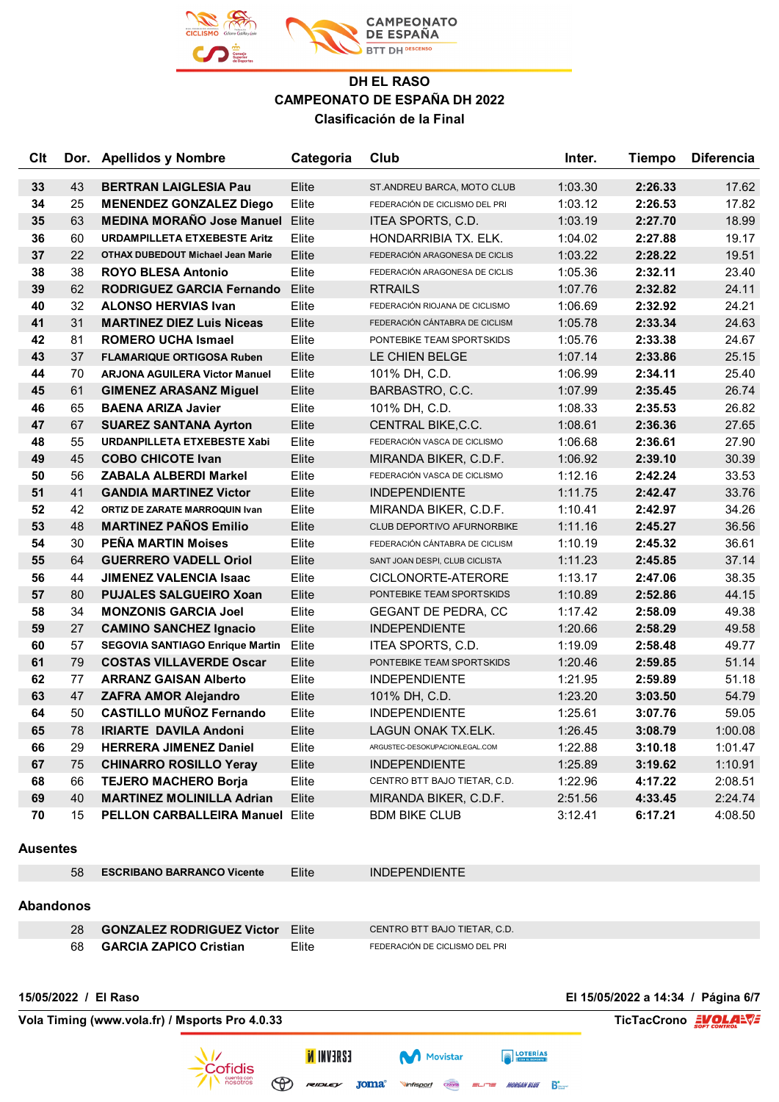

| Clt             |                                                                       | Dor. Apellidos y Nombre                | Categoria | Club                           | Inter.  | <b>Tiempo</b> | <b>Diferencia</b>                  |  |
|-----------------|-----------------------------------------------------------------------|----------------------------------------|-----------|--------------------------------|---------|---------------|------------------------------------|--|
| 33              | 43                                                                    | <b>BERTRAN LAIGLESIA Pau</b>           | Elite     | ST.ANDREU BARCA, MOTO CLUB     | 1:03.30 | 2:26.33       | 17.62                              |  |
| 34              | 25                                                                    | <b>MENENDEZ GONZALEZ Diego</b>         | Elite     | FEDERACIÓN DE CICLISMO DEL PRI | 1:03.12 | 2:26.53       | 17.82                              |  |
| 35              | 63                                                                    | <b>MEDINA MORAÑO Jose Manuel</b>       | Elite     | ITEA SPORTS, C.D.              | 1:03.19 | 2:27.70       | 18.99                              |  |
| 36              | 60                                                                    | <b>URDAMPILLETA ETXEBESTE Aritz</b>    | Elite     | HONDARRIBIA TX. ELK.           | 1:04.02 | 2:27.88       | 19.17                              |  |
| 37              | 22                                                                    | OTHAX DUBEDOUT Michael Jean Marie      | Elite     | FEDERACIÓN ARAGONESA DE CICLIS | 1:03.22 | 2:28.22       | 19.51                              |  |
| 38              | 38                                                                    | <b>ROYO BLESA Antonio</b>              | Elite     | FEDERACIÓN ARAGONESA DE CICLIS | 1:05.36 | 2:32.11       | 23.40                              |  |
| 39              | 62                                                                    | <b>RODRIGUEZ GARCIA Fernando</b>       | Elite     | <b>RTRAILS</b>                 | 1:07.76 | 2:32.82       | 24.11                              |  |
| 40              | 32                                                                    | <b>ALONSO HERVIAS Ivan</b>             | Elite     | FEDERACIÓN RIOJANA DE CICLISMO | 1:06.69 | 2:32.92       | 24.21                              |  |
| 41              | 31                                                                    | <b>MARTINEZ DIEZ Luis Niceas</b>       | Elite     | FEDERACIÓN CÁNTABRA DE CICLISM | 1:05.78 | 2:33.34       | 24.63                              |  |
| 42              | 81                                                                    | <b>ROMERO UCHA Ismael</b>              | Elite     | PONTEBIKE TEAM SPORTSKIDS      | 1:05.76 | 2:33.38       | 24.67                              |  |
| 43              | 37                                                                    | <b>FLAMARIQUE ORTIGOSA Ruben</b>       | Elite     | LE CHIEN BELGE                 | 1:07.14 | 2:33.86       | 25.15                              |  |
| 44              | 70                                                                    | <b>ARJONA AGUILERA Victor Manuel</b>   | Elite     | 101% DH, C.D.                  | 1:06.99 | 2:34.11       | 25.40                              |  |
| 45              | 61                                                                    | <b>GIMENEZ ARASANZ Miguel</b>          | Elite     | BARBASTRO, C.C.                | 1:07.99 | 2:35.45       | 26.74                              |  |
| 46              | 65                                                                    | <b>BAENA ARIZA Javier</b>              | Elite     | 101% DH, C.D.                  | 1:08.33 | 2:35.53       | 26.82                              |  |
| 47              | 67                                                                    | <b>SUAREZ SANTANA Ayrton</b>           | Elite     | CENTRAL BIKE, C.C.             | 1:08.61 | 2:36.36       | 27.65                              |  |
| 48              | 55                                                                    | <b>URDANPILLETA ETXEBESTE Xabi</b>     | Elite     | FEDERACIÓN VASCA DE CICLISMO   | 1:06.68 | 2:36.61       | 27.90                              |  |
| 49              | 45                                                                    | <b>COBO CHICOTE Ivan</b>               | Elite     | MIRANDA BIKER, C.D.F.          | 1:06.92 | 2:39.10       | 30.39                              |  |
| 50              | 56                                                                    | <b>ZABALA ALBERDI Markel</b>           | Elite     | FEDERACIÓN VASCA DE CICLISMO   | 1:12.16 | 2:42.24       | 33.53                              |  |
| 51              | 41                                                                    | <b>GANDIA MARTINEZ Victor</b>          | Elite     | <b>INDEPENDIENTE</b>           | 1:11.75 | 2:42.47       | 33.76                              |  |
| 52              | 42                                                                    | ORTIZ DE ZARATE MARROQUIN Ivan         | Elite     | MIRANDA BIKER, C.D.F.          | 1:10.41 | 2:42.97       | 34.26                              |  |
| 53              | 48                                                                    | <b>MARTINEZ PAÑOS Emilio</b>           | Elite     | CLUB DEPORTIVO AFURNORBIKE     | 1:11.16 | 2:45.27       | 36.56                              |  |
| 54              | 30                                                                    | <b>PEÑA MARTIN Moises</b>              | Elite     | FEDERACIÓN CÁNTABRA DE CICLISM | 1:10.19 | 2:45.32       | 36.61                              |  |
| 55              | 64                                                                    | <b>GUERRERO VADELL Oriol</b>           | Elite     | SANT JOAN DESPI, CLUB CICLISTA | 1:11.23 | 2:45.85       | 37.14                              |  |
| 56              | 44                                                                    | <b>JIMENEZ VALENCIA Isaac</b>          | Elite     | CICLONORTE-ATERORE             | 1:13.17 | 2:47.06       | 38.35                              |  |
| 57              | 80                                                                    | <b>PUJALES SALGUEIRO Xoan</b>          | Elite     | PONTEBIKE TEAM SPORTSKIDS      | 1:10.89 | 2:52.86       | 44.15                              |  |
| 58              | 34                                                                    | <b>MONZONIS GARCIA Joel</b>            | Elite     | GEGANT DE PEDRA, CC            | 1:17.42 | 2:58.09       | 49.38                              |  |
| 59              | 27                                                                    | <b>CAMINO SANCHEZ Ignacio</b>          | Elite     | <b>INDEPENDIENTE</b>           | 1:20.66 | 2:58.29       | 49.58                              |  |
| 60              | 57                                                                    | <b>SEGOVIA SANTIAGO Enrique Martin</b> | Elite     | ITEA SPORTS, C.D.              | 1:19.09 | 2:58.48       | 49.77                              |  |
| 61              | 79                                                                    | <b>COSTAS VILLAVERDE Oscar</b>         | Elite     | PONTEBIKE TEAM SPORTSKIDS      | 1:20.46 | 2:59.85       | 51.14                              |  |
| 62              | 77                                                                    | <b>ARRANZ GAISAN Alberto</b>           | Elite     | <b>INDEPENDIENTE</b>           | 1:21.95 | 2:59.89       | 51.18                              |  |
| 63              | 47                                                                    | ZAFRA AMOR Alejandro                   | Elite     | 101% DH, C.D.                  | 1:23.20 | 3:03.50       | 54.79                              |  |
| 64              | 50                                                                    | <b>CASTILLO MUÑOZ Fernando</b>         | Elite     | <b>INDEPENDIENTE</b>           | 1:25.61 | 3:07.76       | 59.05                              |  |
| 65              | 78                                                                    | <b>IRIARTE DAVILA Andoni</b>           | Elite     | LAGUN ONAK TX.ELK.             | 1:26.45 | 3:08.79       | 1:00.08                            |  |
| 66              | 29                                                                    | <b>HERRERA JIMENEZ Daniel</b>          | Elite     | ARGUSTEC-DESOKUPACIONLEGAL.COM | 1:22.88 | 3:10.18       | 1:01.47                            |  |
| 67              | 75                                                                    | <b>CHINARRO ROSILLO Yeray</b>          | Elite     | <b>INDEPENDIENTE</b>           | 1:25.89 | 3:19.62       | 1:10.91                            |  |
| 68              | 66                                                                    | <b>TEJERO MACHERO Borja</b>            | Elite     | CENTRO BTT BAJO TIETAR, C.D.   | 1:22.96 | 4:17.22       | 2:08.51                            |  |
| 69              | 40                                                                    | <b>MARTINEZ MOLINILLA Adrian</b>       | Elite     | MIRANDA BIKER, C.D.F.          | 2:51.56 | 4:33.45       | 2:24.74                            |  |
| 70              | 15                                                                    | <b>PELLON CARBALLEIRA Manuel Elite</b> |           | <b>BDM BIKE CLUB</b>           | 3:12.41 | 6:17.21       | 4:08.50                            |  |
| <b>Ausentes</b> |                                                                       |                                        |           |                                |         |               |                                    |  |
|                 | 58                                                                    | <b>ESCRIBANO BARRANCO Vicente</b>      | Elite     | <b>INDEPENDIENTE</b>           |         |               |                                    |  |
|                 |                                                                       |                                        |           |                                |         |               |                                    |  |
|                 | <b>Abandonos</b>                                                      |                                        |           |                                |         |               |                                    |  |
|                 | 28                                                                    | <b>GONZALEZ RODRIGUEZ Victor</b>       | Elite     | CENTRO BTT BAJO TIETAR, C.D.   |         |               |                                    |  |
|                 | 68                                                                    | <b>GARCIA ZAPICO Cristian</b>          | Elite     | FEDERACIÓN DE CICLISMO DEL PRI |         |               |                                    |  |
|                 |                                                                       |                                        |           |                                |         |               |                                    |  |
|                 |                                                                       | 15/05/2022 / El Raso                   |           |                                |         |               | El 15/05/2022 a 14:34 / Página 6/7 |  |
|                 |                                                                       |                                        |           |                                |         |               |                                    |  |
|                 | TicTacCrono WOLA=V=<br>Vola Timing (www.vola.fr) / Msports Pro 4.0.33 |                                        |           |                                |         |               |                                    |  |

 $\overline{\nu}$ 

Cofidis cuenta con **INVERSE** 

**FOR THE SERVICE REAL PROPERTY** 

Movistar

**On The Second Second Company of Second Second Second Diversity Biggs**